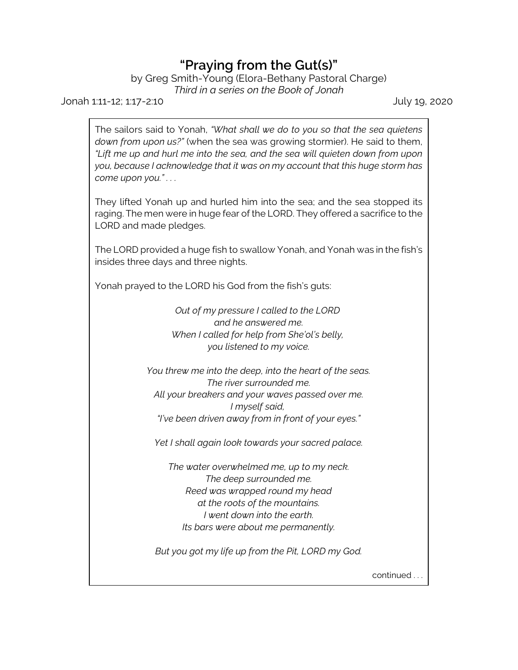## **"Praying from the Gut(s)"**

by Greg Smith-Young (Elora-Bethany Pastoral Charge)

*Third in a series on the Book of Jonah*

Jonah 1:11-12; 1:17-2:10 July 19, 2020

The sailors said to Yonah, *"What shall we do to you so that the sea quietens down from upon us?"* (when the sea was growing stormier). He said to them, *"Lift me up and hurl me into the sea, and the sea will quieten down from upon you, because I acknowledge that it was on my account that this huge storm has come upon you." . . .* 

They lifted Yonah up and hurled him into the sea; and the sea stopped its raging. The men were in huge fear of the LORD. They offered a sacrifice to the LORD and made pledges.

The LORD provided a huge fish to swallow Yonah, and Yonah was in the fish's insides three days and three nights.

Yonah prayed to the LORD his God from the fish's guts:

*Out of my pressure I called to the LORD and he answered me. When I called for help from She'ol's belly, you listened to my voice.*

*You threw me into the deep, into the heart of the seas. The river surrounded me. All your breakers and your waves passed over me. I myself said, "I've been driven away from in front of your eyes."*

*Yet I shall again look towards your sacred palace.*

*The water overwhelmed me, up to my neck. The deep surrounded me. Reed was wrapped round my head at the roots of the mountains. I went down into the earth. Its bars were about me permanently.*

*But you got my life up from the Pit, LORD my God.*

continued . . .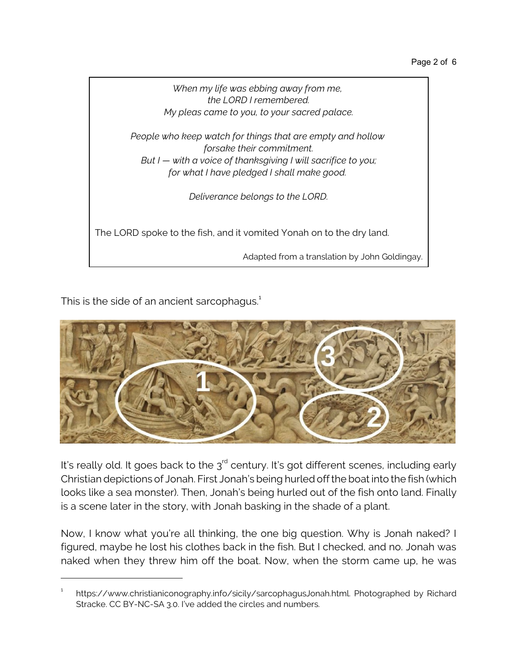

This is the side of an ancient sarcophagus. $^{\rm 1}$ 



It's really old. It goes back to the  $3^{\mathsf{rd}}$  century. It's got different scenes, including early Christian depictions of Jonah. First Jonah's being hurled off the boat into the fish (which looks like a sea monster). Then, Jonah's being hurled out of the fish onto land. Finally is a scene later in the story, with Jonah basking in the shade of a plant.

Now, I know what you're all thinking, the one big question. Why is Jonah naked? I figured, maybe he lost his clothes back in the fish. But I checked, and no. Jonah was naked when they threw him off the boat. Now, when the storm came up, he was

<sup>1</sup> https://www.christianiconography.info/sicily/sarcophagusJonah.html. Photographed by Richard Stracke. CC BY-NC-SA 3.0. I've added the circles and numbers.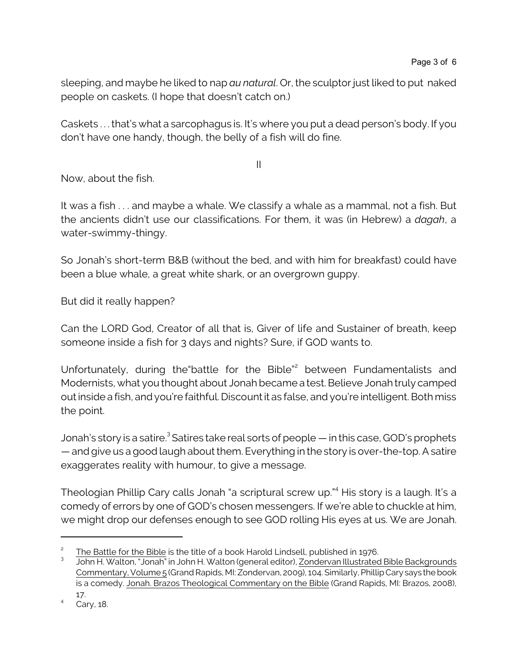sleeping, and maybe he liked to nap *au natural*. Or, the sculptor just liked to put naked people on caskets. (I hope that doesn't catch on.)

Caskets . . . that's what a sarcophagus is. It's where you put a dead person's body. If you don't have one handy, though, the belly of a fish will do fine.

II

Now, about the fish.

It was a fish . . . and maybe a whale. We classify a whale as a mammal, not a fish. But the ancients didn't use our classifications. For them, it was (in Hebrew) a *dagah*, a water-swimmy-thingy.

So Jonah's short-term B&B (without the bed, and with him for breakfast) could have been a blue whale, a great white shark, or an overgrown guppy.

But did it really happen?

Can the LORD God, Creator of all that is, Giver of life and Sustainer of breath, keep someone inside a fish for 3 days and nights? Sure, if GOD wants to.

Unfortunately, during the battle for the Bible<sup>"2</sup> between Fundamentalists and Modernists, what you thought about Jonah became a test. Believe Jonah truly camped outinside a fish, and you're faithful. Discountit as false, and you're intelligent. Both miss the point.

Jonah's story is a satire.<sup>3</sup> Satires take real sorts of people — in this case, GOD's prophets — and give us a good laugh about them. Everything in the story is over-the-top. A satire exaggerates reality with humour, to give a message.

Theologian Phillip Cary calls Jonah "a scriptural screw up."<sup>4</sup> His story is a laugh. It's a comedy of errors by one of GOD's chosen messengers. If we're able to chuckle at him, we might drop our defenses enough to see GOD rolling His eyes at us. We are Jonah.

<sup>2</sup> The Battle for the Bible is the title of a book Harold Lindsell, published in 1976.

<sup>3</sup> John H. Walton, "Jonah" in John H. Walton (general editor), Zondervan Illustrated Bible Backgrounds Commentary, Volume 5 (Grand Rapids, MI: Zondervan, 2009), 104. Similarly, Phillip Cary says the book is a comedy. Jonah. Brazos Theological Commentary on the Bible (Grand Rapids, MI: Brazos, 2008), 17.

<sup>4</sup> Cary, 18.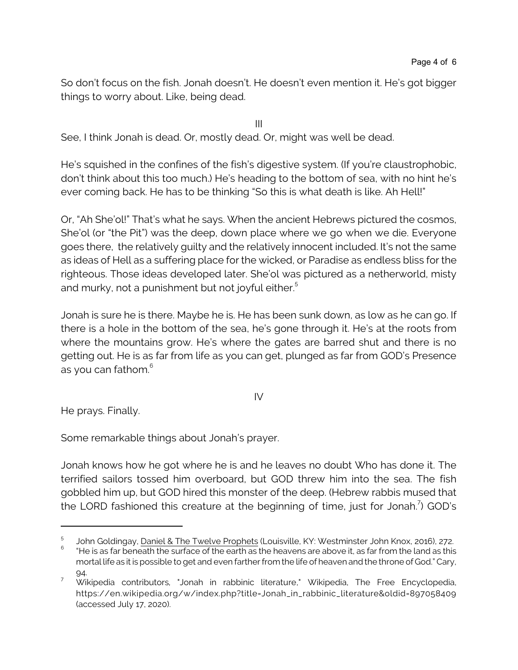So don't focus on the fish. Jonah doesn't. He doesn't even mention it. He's got bigger things to worry about. Like, being dead.

III

See, I think Jonah is dead. Or, mostly dead. Or, might was well be dead.

He's squished in the confines of the fish's digestive system. (If you're claustrophobic, don't think about this too much.) He's heading to the bottom of sea, with no hint he's ever coming back. He has to be thinking "So this is what death is like. Ah Hell!"

Or, "Ah She'ol!" That's what he says. When the ancient Hebrews pictured the cosmos, She'ol (or "the Pit") was the deep, down place where we go when we die. Everyone goes there, the relatively guilty and the relatively innocent included. It's not the same as ideas of Hell as a suffering place for the wicked, or Paradise as endless bliss for the righteous. Those ideas developed later. She'ol was pictured as a netherworld, misty and murky, not a punishment but not joyful either.<sup>5</sup>

Jonah is sure he is there. Maybe he is. He has been sunk down, as low as he can go. If there is a hole in the bottom of the sea, he's gone through it. He's at the roots from where the mountains grow. He's where the gates are barred shut and there is no getting out. He is as far from life as you can get, plunged as far from GOD's Presence as you can fathom. $^6$ 

IV

He prays. Finally.

Some remarkable things about Jonah's prayer.

Jonah knows how he got where he is and he leaves no doubt Who has done it. The terrified sailors tossed him overboard, but GOD threw him into the sea. The fish gobbled him up, but GOD hired this monster of the deep. (Hebrew rabbis mused that the LORD fashioned this creature at the beginning of time, just for Jonah.<sup>7</sup>) GOD's

<sup>5</sup> John Goldingay, Daniel & The Twelve Prophets (Louisville, KY: Westminster John Knox, 2016), 272. 6 "He is as far beneath the surface of the earth as the heavens are above it, as far from the land as this mortal life as it is possible to get and even farther from the life of heaven and the throne of God." Cary,

<sup>94.</sup>

 $7$  Wikipedia contributors, "Jonah in rabbinic literature," Wikipedia, The Free Encyclopedia, https://en.wikipedia.org/w/index.php?title=Jonah\_in\_rabbinic\_literature&oldid=897058409 (accessed July 17, 2020).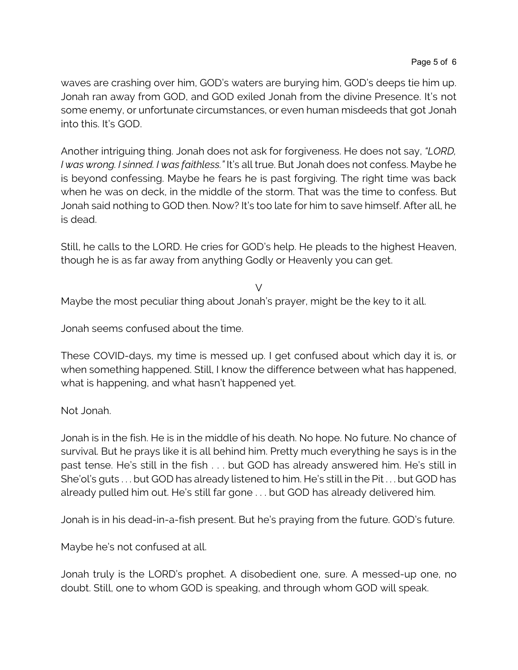waves are crashing over him, GOD's waters are burying him, GOD's deeps tie him up. Jonah ran away from GOD, and GOD exiled Jonah from the divine Presence. It's not some enemy, or unfortunate circumstances, or even human misdeeds that got Jonah into this. It's GOD.

Another intriguing thing. Jonah does not ask for forgiveness. He does not say, *"LORD, I was wrong. I sinned. I was faithless."* It's all true. But Jonah does not confess. Maybe he is beyond confessing. Maybe he fears he is past forgiving. The right time was back when he was on deck, in the middle of the storm. That was the time to confess. But Jonah said nothing to GOD then. Now? It's too late for him to save himself. After all, he is dead.

Still, he calls to the LORD. He cries for GOD's help. He pleads to the highest Heaven, though he is as far away from anything Godly or Heavenly you can get.

 $\vee$ 

Maybe the most peculiar thing about Jonah's prayer, might be the key to it all.

Jonah seems confused about the time.

These COVID-days, my time is messed up. I get confused about which day it is, or when something happened. Still, I know the difference between what has happened, what is happening, and what hasn't happened yet.

Not Jonah.

Jonah is in the fish. He is in the middle of his death. No hope. No future. No chance of survival. But he prays like it is all behind him. Pretty much everything he says is in the past tense. He's still in the fish . . . but GOD has already answered him. He's still in She'ol's guts . . . but GOD has already listened to him. He's still in the Pit . . . but GOD has already pulled him out. He's still far gone . . . but GOD has already delivered him.

Jonah is in his dead-in-a-fish present. But he's praying from the future. GOD's future.

Maybe he's not confused at all.

Jonah truly is the LORD's prophet. A disobedient one, sure. A messed-up one, no doubt. Still, one to whom GOD is speaking, and through whom GOD will speak.